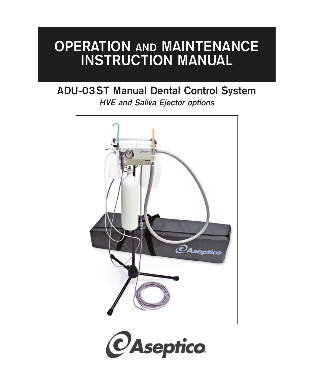# **OPERATION AND MAINTENANCE INSTRUCTION MANUAL**

# **ADU-03ST Manual Dental Control System HVE and Saliva Ejector options**



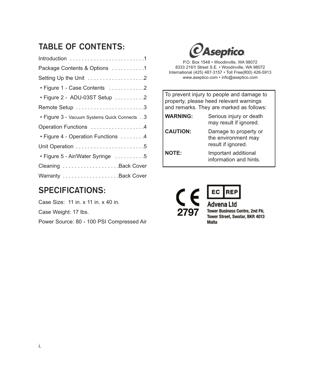## **TABLE OF CONTENTS:**

| Package Contents & Options 1                |
|---------------------------------------------|
| Setting Up the Unit 2                       |
| • Figure 1 - Case Contents 2                |
| • Figure 2 - ADU-03ST Setup 2               |
| Remote Setup 3                              |
| • Figure 3 - Vacuum Systems Quick Connects3 |
| Operation Functions 4                       |
| • Figure 4 - Operation Functions 4          |
|                                             |
| • Figure 5 - Air/Water Syringe 5            |
| Cleaning Back Cover                         |
|                                             |

### **SPECIFICATIONS:**

Case Size: 11 in. x 11 in. x 40 in. Case Weight: 17 lbs. Power Source: 80 - 100 PSI Compressed Air  $\mathcal Q$ Aseptico

P.O. Box 1548 • Woodinville, WA 98072 8333 216<sup>th</sup> Street S.E. • Woodinville, WA 98072 International (425) 487-3157 • Toll Free(800) 426-5913 www.aseptico.com • info@aseptico.com

To prevent injury to people and damage to property, please heed relevant warnings and remarks. They are marked as follows:

| <b>WARNING:</b> | Serious injury or death<br>may result if ignored.                  |
|-----------------|--------------------------------------------------------------------|
| <b>CAUTION:</b> | Damage to property or<br>the environment may<br>result if ignored. |
| <b>NOTE:</b>    | Important additional<br>information and hints.                     |



**Advena Ltd Tower Business Centre, 2nd Flr,** Tower Street, Swatar, BKR 4013 **Malta** 

**REP**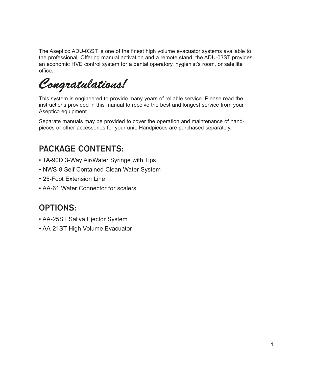The Aseptico ADU-03ST is one of the finest high volume evacuator systems available to the professional. Offering manual activation and a remote stand, the ADU-03ST provides an economic HVE control system for a dental operatory, hygienist's room, or satellite office.

*Congratulations!*

This system is engineered to provide many years of reliable service. Please read the instructions provided in this manual to receive the best and longest service from your Aseptico equipment.

Separate manuals may be provided to cover the operation and maintenance of handpieces or other accessories for your unit. Handpieces are purchased separately.

## **PACKAGE CONTENTS:**

- TA-90D 3-Way Air/Water Syringe with Tips
- NWS-8 Self Contained Clean Water System
- 25-Foot Extension Line
- AA-61 Water Connector for scalers

### **OPTIONS:**

- AA-25ST Saliva Ejector System
- AA-21ST High Volume Evacuator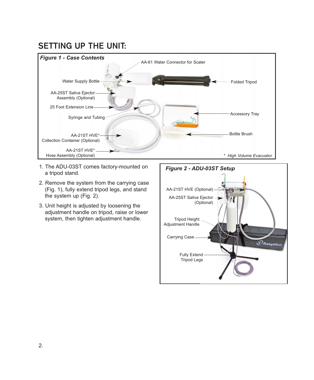### **SETTING UP THE UNIT:**



- 1. The ADU-03ST comes factory-mounted on a tripod stand.
- 2. Remove the system from the carrying case (Fig. 1), fully extend tripod legs, and stand the system up (Fig. 2).
- 3. Unit height is adjusted by loosening the adjustment handle on tripod, raise or lower system, then tighten adjustment handle.

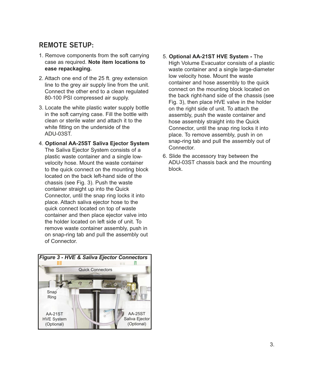### **REMOTE SETUP:**

- 1. Remove components from the soft carrying case as required. **Note item locations to ease repackaging.**
- 2. Attach one end of the 25 ft. grey extension line to the grey air supply line from the unit. Connect the other end to a clean regulated 80-100 PSI compressed air supply.
- 3. Locate the white plastic water supply bottle in the soft carrying case. Fill the bottle with clean or sterile water and attach it to the white fitting on the underside of the ADU-03ST.
- 4. **Optional AA-25ST Saliva Ejector System** The Saliva Ejector System consists of a plastic waste container and a single lowvelocity hose. Mount the waste container to the quick connect on the mounting block located on the back left-hand side of the chassis (see Fig. 3). Push the waste container straight up into the Quick Connector, until the snap ring locks it into place. Attach saliva ejector hose to the quick connect located on top of waste container and then place ejector valve into the holder located on left side of unit. To remove waste container assembly, push in on snap-ring tab and pull the assembly out of Connector.



- 5. **Optional AA-21ST HVE System -** The High Volume Evacuator consists of a plastic waste container and a single large-diameter low velocity hose. Mount the waste container and hose assembly to the quick connect on the mounting block located on the back right-hand side of the chassis (see Fig. 3), then place HVE valve in the holder on the right side of unit. To attach the assembly, push the waste container and hose assembly straight into the Quick Connector, until the snap ring locks it into place. To remove assembly, push in on snap-ring tab and pull the assembly out of Connector.
- 6. Slide the accessory tray between the ADU-03ST chassis back and the mounting block.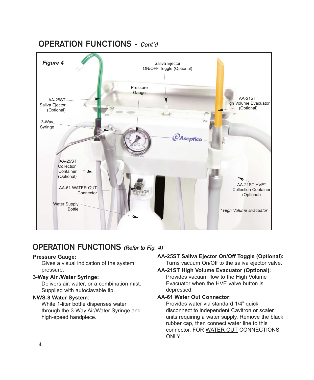### **OPERATION FUNCTIONS - Cont'd**



### **OPERATION FUNCTIONS (Refer to Fig. 4)**

#### **Pressure Gauge:**

Gives a visual indication of the system pressure.

#### **3-Way Air /Water Syringe:**

Delivers air, water, or a combination mist. Supplied with autoclavable tip.

#### **NWS-8 Water System**:

White 1-liter bottle dispenses water through the 3-Way Air/Water Syringe and high-speed handpiece.

#### **AA-25ST Saliva Ejector On/Off Toggle (Optional):**

Turns vacuum On/Off to the saliva ejector valve.

#### **AA-21ST High Volume Evacuator (Optional):** Provides vacuum flow to the High Volume Evacuator when the HVE valve button is depressed.

#### **AA-61 Water Out Connector:**

Provides water via standard 1/4" quick disconnect to independent Cavitron or scaler units requiring a water supply. Remove the black rubber cap, then connect water line to this connector. FOR WATER OUT CONNECTIONS ONLY!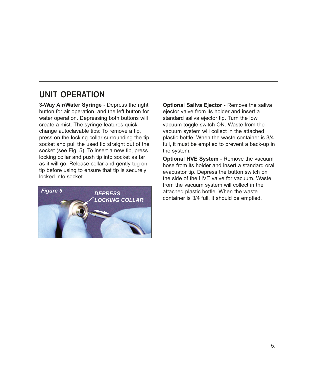### **UNIT OPERATION**

**3-Way Air/Water Syringe** - Depress the right button for air operation, and the left button for water operation. Depressing both buttons will create a mist. The syringe features quickchange autoclavable tips: To remove a tip, press on the locking collar surrounding the tip socket and pull the used tip straight out of the socket (see Fig. 5). To insert a new tip, press locking collar and push tip into socket as far as it will go. Release collar and gently tug on tip before using to ensure that tip is securely locked into socket.



**Optional Saliva Ejector** - Remove the saliva ejector valve from its holder and insert a standard saliva ejector tip. Turn the low vacuum toggle switch ON. Waste from the vacuum system will collect in the attached plastic bottle. When the waste container is 3/4 full, it must be emptied to prevent a back-up in the system.

**Optional HVE System** - Remove the vacuum hose from its holder and insert a standard oral evacuator tip. Depress the button switch on the side of the HVE valve for vacuum. Waste from the vacuum system will collect in the attached plastic bottle. When the waste container is 3/4 full, it should be emptied.